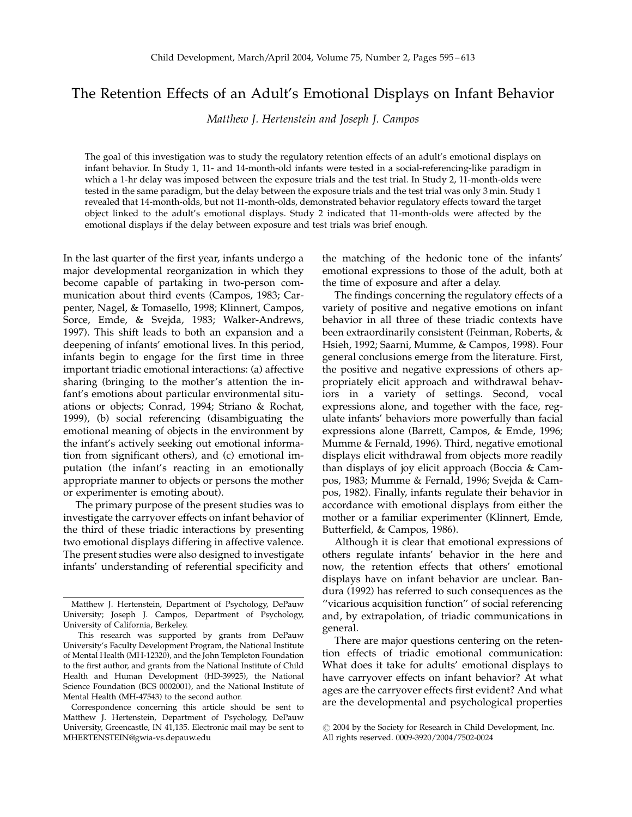# The Retention Effects of an Adult's Emotional Displays on Infant Behavior

Matthew J. Hertenstein and Joseph J. Campos

The goal of this investigation was to study the regulatory retention effects of an adult's emotional displays on infant behavior. In Study 1, 11- and 14-month-old infants were tested in a social-referencing-like paradigm in which a 1-hr delay was imposed between the exposure trials and the test trial. In Study 2, 11-month-olds were tested in the same paradigm, but the delay between the exposure trials and the test trial was only 3 min. Study 1 revealed that 14-month-olds, but not 11-month-olds, demonstrated behavior regulatory effects toward the target object linked to the adult's emotional displays. Study 2 indicated that 11-month-olds were affected by the emotional displays if the delay between exposure and test trials was brief enough.

In the last quarter of the first year, infants undergo a major developmental reorganization in which they become capable of partaking in two-person communication about third events (Campos, 1983; Carpenter, Nagel, & Tomasello, 1998; Klinnert, Campos, Sorce, Emde, & Svejda, 1983; Walker-Andrews, 1997). This shift leads to both an expansion and a deepening of infants' emotional lives. In this period, infants begin to engage for the first time in three important triadic emotional interactions: (a) affective sharing (bringing to the mother's attention the infant's emotions about particular environmental situations or objects; Conrad, 1994; Striano & Rochat, 1999), (b) social referencing (disambiguating the emotional meaning of objects in the environment by the infant's actively seeking out emotional information from significant others), and (c) emotional imputation (the infant's reacting in an emotionally appropriate manner to objects or persons the mother or experimenter is emoting about).

The primary purpose of the present studies was to investigate the carryover effects on infant behavior of the third of these triadic interactions by presenting two emotional displays differing in affective valence. The present studies were also designed to investigate infants' understanding of referential specificity and

the matching of the hedonic tone of the infants' emotional expressions to those of the adult, both at the time of exposure and after a delay.

The findings concerning the regulatory effects of a variety of positive and negative emotions on infant behavior in all three of these triadic contexts have been extraordinarily consistent (Feinman, Roberts, & Hsieh, 1992; Saarni, Mumme, & Campos, 1998). Four general conclusions emerge from the literature. First, the positive and negative expressions of others appropriately elicit approach and withdrawal behaviors in a variety of settings. Second, vocal expressions alone, and together with the face, regulate infants' behaviors more powerfully than facial expressions alone (Barrett, Campos, & Emde, 1996; Mumme & Fernald, 1996). Third, negative emotional displays elicit withdrawal from objects more readily than displays of joy elicit approach (Boccia & Campos, 1983; Mumme & Fernald, 1996; Svejda & Campos, 1982). Finally, infants regulate their behavior in accordance with emotional displays from either the mother or a familiar experimenter (Klinnert, Emde, Butterfield, & Campos, 1986).

Although it is clear that emotional expressions of others regulate infants' behavior in the here and now, the retention effects that others' emotional displays have on infant behavior are unclear. Bandura (1992) has referred to such consequences as the ''vicarious acquisition function'' of social referencing and, by extrapolation, of triadic communications in general.

There are major questions centering on the retention effects of triadic emotional communication: What does it take for adults' emotional displays to have carryover effects on infant behavior? At what ages are the carryover effects first evident? And what are the developmental and psychological properties

Matthew J. Hertenstein, Department of Psychology, DePauw University; Joseph J. Campos, Department of Psychology, University of California, Berkeley.

This research was supported by grants from DePauw University's Faculty Development Program, the National Institute of Mental Health (MH-12320), and the John Templeton Foundation to the first author, and grants from the National Institute of Child Health and Human Development (HD-39925), the National Science Foundation (BCS 0002001), and the National Institute of Mental Health (MH-47543) to the second author.

Correspondence concerning this article should be sent to Matthew J. Hertenstein, Department of Psychology, DePauw University, Greencastle, IN 41,135. Electronic mail may be sent to MHERTENSTEIN@gwia-vs.depauw.edu

 $C$  2004 by the Society for Research in Child Development, Inc. All rights reserved. 0009-3920/2004/7502-0024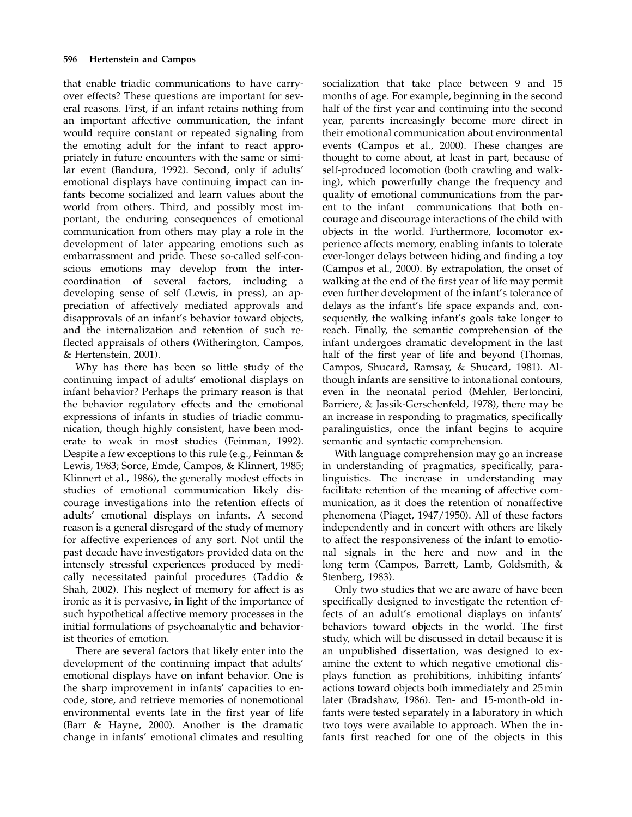that enable triadic communications to have carryover effects? These questions are important for several reasons. First, if an infant retains nothing from an important affective communication, the infant would require constant or repeated signaling from the emoting adult for the infant to react appropriately in future encounters with the same or similar event (Bandura, 1992). Second, only if adults' emotional displays have continuing impact can infants become socialized and learn values about the world from others. Third, and possibly most important, the enduring consequences of emotional communication from others may play a role in the development of later appearing emotions such as embarrassment and pride. These so-called self-conscious emotions may develop from the intercoordination of several factors, including a developing sense of self (Lewis, in press), an appreciation of affectively mediated approvals and disapprovals of an infant's behavior toward objects, and the internalization and retention of such reflected appraisals of others (Witherington, Campos, & Hertenstein, 2001).

Why has there has been so little study of the continuing impact of adults' emotional displays on infant behavior? Perhaps the primary reason is that the behavior regulatory effects and the emotional expressions of infants in studies of triadic communication, though highly consistent, have been moderate to weak in most studies (Feinman, 1992). Despite a few exceptions to this rule (e.g., Feinman & Lewis, 1983; Sorce, Emde, Campos, & Klinnert, 1985; Klinnert et al., 1986), the generally modest effects in studies of emotional communication likely discourage investigations into the retention effects of adults' emotional displays on infants. A second reason is a general disregard of the study of memory for affective experiences of any sort. Not until the past decade have investigators provided data on the intensely stressful experiences produced by medically necessitated painful procedures (Taddio & Shah, 2002). This neglect of memory for affect is as ironic as it is pervasive, in light of the importance of such hypothetical affective memory processes in the initial formulations of psychoanalytic and behaviorist theories of emotion.

There are several factors that likely enter into the development of the continuing impact that adults' emotional displays have on infant behavior. One is the sharp improvement in infants' capacities to encode, store, and retrieve memories of nonemotional environmental events late in the first year of life (Barr & Hayne, 2000). Another is the dramatic change in infants' emotional climates and resulting socialization that take place between 9 and 15 months of age. For example, beginning in the second half of the first year and continuing into the second year, parents increasingly become more direct in their emotional communication about environmental events (Campos et al., 2000). These changes are thought to come about, at least in part, because of self-produced locomotion (both crawling and walking), which powerfully change the frequency and quality of emotional communications from the parent to the infant-communications that both encourage and discourage interactions of the child with objects in the world. Furthermore, locomotor experience affects memory, enabling infants to tolerate ever-longer delays between hiding and finding a toy (Campos et al., 2000). By extrapolation, the onset of walking at the end of the first year of life may permit even further development of the infant's tolerance of delays as the infant's life space expands and, consequently, the walking infant's goals take longer to reach. Finally, the semantic comprehension of the infant undergoes dramatic development in the last half of the first year of life and beyond (Thomas, Campos, Shucard, Ramsay, & Shucard, 1981). Although infants are sensitive to intonational contours, even in the neonatal period (Mehler, Bertoncini, Barriere, & Jassik-Gerschenfeld, 1978), there may be an increase in responding to pragmatics, specifically paralinguistics, once the infant begins to acquire semantic and syntactic comprehension.

With language comprehension may go an increase in understanding of pragmatics, specifically, paralinguistics. The increase in understanding may facilitate retention of the meaning of affective communication, as it does the retention of nonaffective phenomena (Piaget, 1947/1950). All of these factors independently and in concert with others are likely to affect the responsiveness of the infant to emotional signals in the here and now and in the long term (Campos, Barrett, Lamb, Goldsmith, & Stenberg, 1983).

Only two studies that we are aware of have been specifically designed to investigate the retention effects of an adult's emotional displays on infants' behaviors toward objects in the world. The first study, which will be discussed in detail because it is an unpublished dissertation, was designed to examine the extent to which negative emotional displays function as prohibitions, inhibiting infants' actions toward objects both immediately and 25 min later (Bradshaw, 1986). Ten- and 15-month-old infants were tested separately in a laboratory in which two toys were available to approach. When the infants first reached for one of the objects in this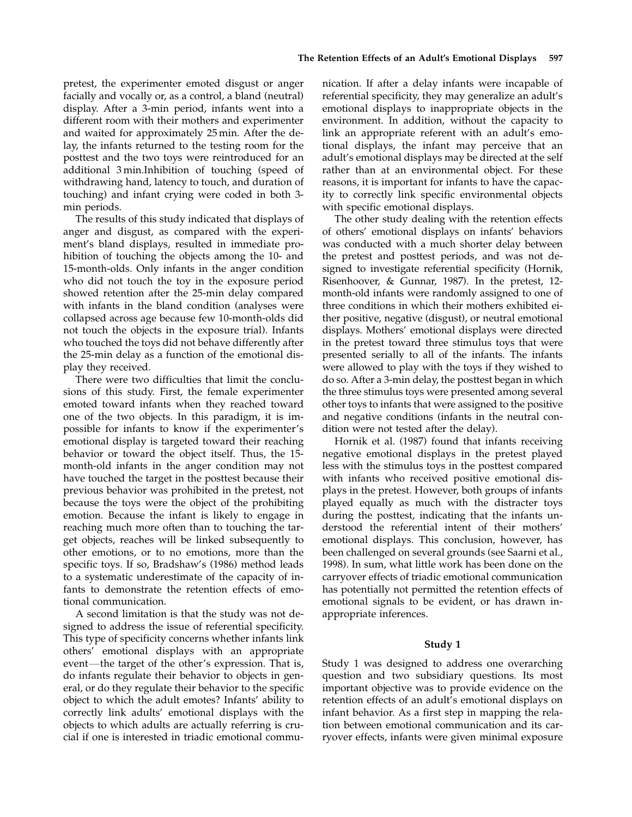pretest, the experimenter emoted disgust or anger facially and vocally or, as a control, a bland (neutral) display. After a 3-min period, infants went into a different room with their mothers and experimenter and waited for approximately 25 min. After the delay, the infants returned to the testing room for the posttest and the two toys were reintroduced for an additional 3 min.Inhibition of touching (speed of withdrawing hand, latency to touch, and duration of touching) and infant crying were coded in both 3 min periods.

The results of this study indicated that displays of anger and disgust, as compared with the experiment's bland displays, resulted in immediate prohibition of touching the objects among the 10- and 15-month-olds. Only infants in the anger condition who did not touch the toy in the exposure period showed retention after the 25-min delay compared with infants in the bland condition (analyses were collapsed across age because few 10-month-olds did not touch the objects in the exposure trial). Infants who touched the toys did not behave differently after the 25-min delay as a function of the emotional display they received.

There were two difficulties that limit the conclusions of this study. First, the female experimenter emoted toward infants when they reached toward one of the two objects. In this paradigm, it is impossible for infants to know if the experimenter's emotional display is targeted toward their reaching behavior or toward the object itself. Thus, the 15 month-old infants in the anger condition may not have touched the target in the posttest because their previous behavior was prohibited in the pretest, not because the toys were the object of the prohibiting emotion. Because the infant is likely to engage in reaching much more often than to touching the target objects, reaches will be linked subsequently to other emotions, or to no emotions, more than the specific toys. If so, Bradshaw's (1986) method leads to a systematic underestimate of the capacity of infants to demonstrate the retention effects of emotional communication.

A second limitation is that the study was not designed to address the issue of referential specificity. This type of specificity concerns whether infants link others' emotional displays with an appropriate event—the target of the other's expression. That is, do infants regulate their behavior to objects in general, or do they regulate their behavior to the specific object to which the adult emotes? Infants' ability to correctly link adults' emotional displays with the objects to which adults are actually referring is crucial if one is interested in triadic emotional communication. If after a delay infants were incapable of referential specificity, they may generalize an adult's emotional displays to inappropriate objects in the environment. In addition, without the capacity to link an appropriate referent with an adult's emotional displays, the infant may perceive that an adult's emotional displays may be directed at the self rather than at an environmental object. For these reasons, it is important for infants to have the capacity to correctly link specific environmental objects with specific emotional displays.

The other study dealing with the retention effects of others' emotional displays on infants' behaviors was conducted with a much shorter delay between the pretest and posttest periods, and was not designed to investigate referential specificity (Hornik, Risenhoover, & Gunnar, 1987). In the pretest, 12 month-old infants were randomly assigned to one of three conditions in which their mothers exhibited either positive, negative (disgust), or neutral emotional displays. Mothers' emotional displays were directed in the pretest toward three stimulus toys that were presented serially to all of the infants. The infants were allowed to play with the toys if they wished to do so. After a 3-min delay, the posttest began in which the three stimulus toys were presented among several other toys to infants that were assigned to the positive and negative conditions (infants in the neutral condition were not tested after the delay).

Hornik et al. (1987) found that infants receiving negative emotional displays in the pretest played less with the stimulus toys in the posttest compared with infants who received positive emotional displays in the pretest. However, both groups of infants played equally as much with the distracter toys during the posttest, indicating that the infants understood the referential intent of their mothers' emotional displays. This conclusion, however, has been challenged on several grounds (see Saarni et al., 1998). In sum, what little work has been done on the carryover effects of triadic emotional communication has potentially not permitted the retention effects of emotional signals to be evident, or has drawn inappropriate inferences.

## Study 1

Study 1 was designed to address one overarching question and two subsidiary questions. Its most important objective was to provide evidence on the retention effects of an adult's emotional displays on infant behavior. As a first step in mapping the relation between emotional communication and its carryover effects, infants were given minimal exposure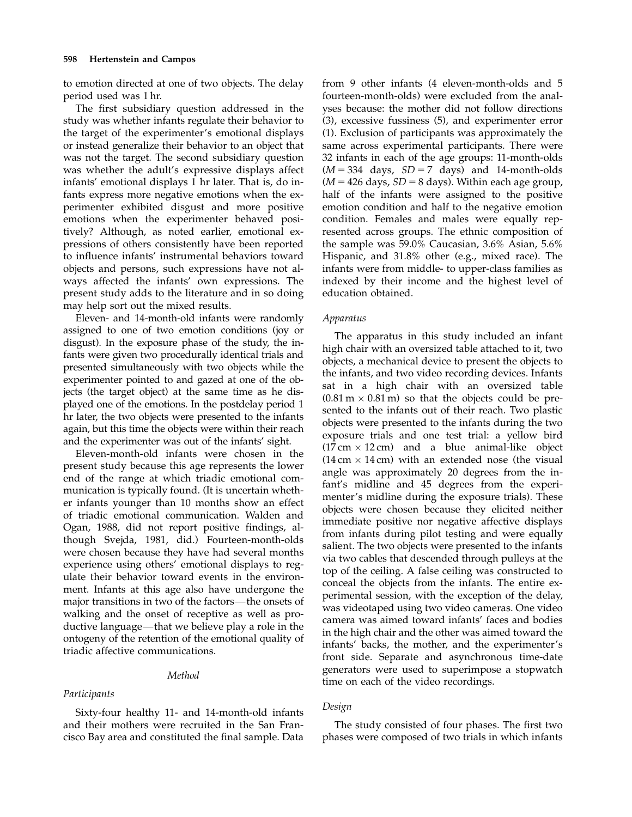to emotion directed at one of two objects. The delay period used was 1 hr.

The first subsidiary question addressed in the study was whether infants regulate their behavior to the target of the experimenter's emotional displays or instead generalize their behavior to an object that was not the target. The second subsidiary question was whether the adult's expressive displays affect infants' emotional displays 1 hr later. That is, do infants express more negative emotions when the experimenter exhibited disgust and more positive emotions when the experimenter behaved positively? Although, as noted earlier, emotional expressions of others consistently have been reported to influence infants' instrumental behaviors toward objects and persons, such expressions have not always affected the infants' own expressions. The present study adds to the literature and in so doing may help sort out the mixed results.

Eleven- and 14-month-old infants were randomly assigned to one of two emotion conditions (joy or disgust). In the exposure phase of the study, the infants were given two procedurally identical trials and presented simultaneously with two objects while the experimenter pointed to and gazed at one of the objects (the target object) at the same time as he displayed one of the emotions. In the postdelay period 1 hr later, the two objects were presented to the infants again, but this time the objects were within their reach and the experimenter was out of the infants' sight.

Eleven-month-old infants were chosen in the present study because this age represents the lower end of the range at which triadic emotional communication is typically found. (It is uncertain whether infants younger than 10 months show an effect of triadic emotional communication. Walden and Ogan, 1988, did not report positive findings, although Svejda, 1981, did.) Fourteen-month-olds were chosen because they have had several months experience using others' emotional displays to regulate their behavior toward events in the environment. Infants at this age also have undergone the major transitions in two of the factors-the onsets of walking and the onset of receptive as well as productive language—that we believe play a role in the ontogeny of the retention of the emotional quality of triadic affective communications.

## Method

## Participants

Sixty-four healthy 11- and 14-month-old infants and their mothers were recruited in the San Francisco Bay area and constituted the final sample. Data

from 9 other infants (4 eleven-month-olds and 5 fourteen-month-olds) were excluded from the analyses because: the mother did not follow directions (3), excessive fussiness (5), and experimenter error (1). Exclusion of participants was approximately the same across experimental participants. There were 32 infants in each of the age groups: 11-month-olds  $(M = 334$  days,  $SD = 7$  days) and 14-month-olds  $(M = 426$  days,  $SD = 8$  days). Within each age group, half of the infants were assigned to the positive emotion condition and half to the negative emotion condition. Females and males were equally represented across groups. The ethnic composition of the sample was 59.0% Caucasian, 3.6% Asian, 5.6% Hispanic, and 31.8% other (e.g., mixed race). The infants were from middle- to upper-class families as indexed by their income and the highest level of education obtained.

#### Apparatus

The apparatus in this study included an infant high chair with an oversized table attached to it, two objects, a mechanical device to present the objects to the infants, and two video recording devices. Infants sat in a high chair with an oversized table  $(0.81 \text{ m} \times 0.81 \text{ m})$  so that the objects could be presented to the infants out of their reach. Two plastic objects were presented to the infants during the two exposure trials and one test trial: a yellow bird  $(17 \text{ cm} \times 12 \text{ cm})$  and a blue animal-like object  $(14 \text{ cm} \times 14 \text{ cm})$  with an extended nose (the visual angle was approximately 20 degrees from the infant's midline and 45 degrees from the experimenter's midline during the exposure trials). These objects were chosen because they elicited neither immediate positive nor negative affective displays from infants during pilot testing and were equally salient. The two objects were presented to the infants via two cables that descended through pulleys at the top of the ceiling. A false ceiling was constructed to conceal the objects from the infants. The entire experimental session, with the exception of the delay, was videotaped using two video cameras. One video camera was aimed toward infants' faces and bodies in the high chair and the other was aimed toward the infants' backs, the mother, and the experimenter's front side. Separate and asynchronous time-date generators were used to superimpose a stopwatch time on each of the video recordings.

#### Design

The study consisted of four phases. The first two phases were composed of two trials in which infants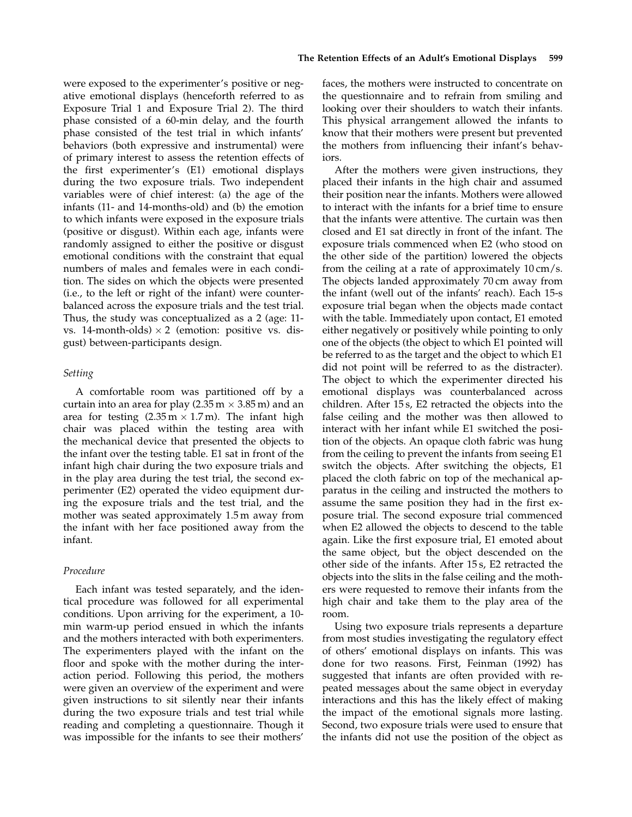were exposed to the experimenter's positive or negative emotional displays (henceforth referred to as Exposure Trial 1 and Exposure Trial 2). The third phase consisted of a 60-min delay, and the fourth phase consisted of the test trial in which infants' behaviors (both expressive and instrumental) were of primary interest to assess the retention effects of the first experimenter's (E1) emotional displays during the two exposure trials. Two independent variables were of chief interest: (a) the age of the infants (11- and 14-months-old) and (b) the emotion to which infants were exposed in the exposure trials (positive or disgust). Within each age, infants were randomly assigned to either the positive or disgust emotional conditions with the constraint that equal numbers of males and females were in each condition. The sides on which the objects were presented (i.e., to the left or right of the infant) were counterbalanced across the exposure trials and the test trial. Thus, the study was conceptualized as a 2 (age: 11 vs. 14-month-olds)  $\times$  2 (emotion: positive vs. disgust) between-participants design.

## Setting

A comfortable room was partitioned off by a curtain into an area for play (2.35 m  $\times$  3.85 m) and an area for testing  $(2.35 \text{ m} \times 1.7 \text{ m})$ . The infant high chair was placed within the testing area with the mechanical device that presented the objects to the infant over the testing table. E1 sat in front of the infant high chair during the two exposure trials and in the play area during the test trial, the second experimenter (E2) operated the video equipment during the exposure trials and the test trial, and the mother was seated approximately 1.5 m away from the infant with her face positioned away from the infant.

## Procedure

Each infant was tested separately, and the identical procedure was followed for all experimental conditions. Upon arriving for the experiment, a 10 min warm-up period ensued in which the infants and the mothers interacted with both experimenters. The experimenters played with the infant on the floor and spoke with the mother during the interaction period. Following this period, the mothers were given an overview of the experiment and were given instructions to sit silently near their infants during the two exposure trials and test trial while reading and completing a questionnaire. Though it was impossible for the infants to see their mothers'

faces, the mothers were instructed to concentrate on the questionnaire and to refrain from smiling and looking over their shoulders to watch their infants. This physical arrangement allowed the infants to know that their mothers were present but prevented the mothers from influencing their infant's behaviors.

After the mothers were given instructions, they placed their infants in the high chair and assumed their position near the infants. Mothers were allowed to interact with the infants for a brief time to ensure that the infants were attentive. The curtain was then closed and E1 sat directly in front of the infant. The exposure trials commenced when E2 (who stood on the other side of the partition) lowered the objects from the ceiling at a rate of approximately 10 cm/s. The objects landed approximately 70 cm away from the infant (well out of the infants' reach). Each 15-s exposure trial began when the objects made contact with the table. Immediately upon contact, E1 emoted either negatively or positively while pointing to only one of the objects (the object to which E1 pointed will be referred to as the target and the object to which E1 did not point will be referred to as the distracter). The object to which the experimenter directed his emotional displays was counterbalanced across children. After 15 s, E2 retracted the objects into the false ceiling and the mother was then allowed to interact with her infant while E1 switched the position of the objects. An opaque cloth fabric was hung from the ceiling to prevent the infants from seeing E1 switch the objects. After switching the objects, E1 placed the cloth fabric on top of the mechanical apparatus in the ceiling and instructed the mothers to assume the same position they had in the first exposure trial. The second exposure trial commenced when E2 allowed the objects to descend to the table again. Like the first exposure trial, E1 emoted about the same object, but the object descended on the other side of the infants. After 15 s, E2 retracted the objects into the slits in the false ceiling and the mothers were requested to remove their infants from the high chair and take them to the play area of the room.

Using two exposure trials represents a departure from most studies investigating the regulatory effect of others' emotional displays on infants. This was done for two reasons. First, Feinman (1992) has suggested that infants are often provided with repeated messages about the same object in everyday interactions and this has the likely effect of making the impact of the emotional signals more lasting. Second, two exposure trials were used to ensure that the infants did not use the position of the object as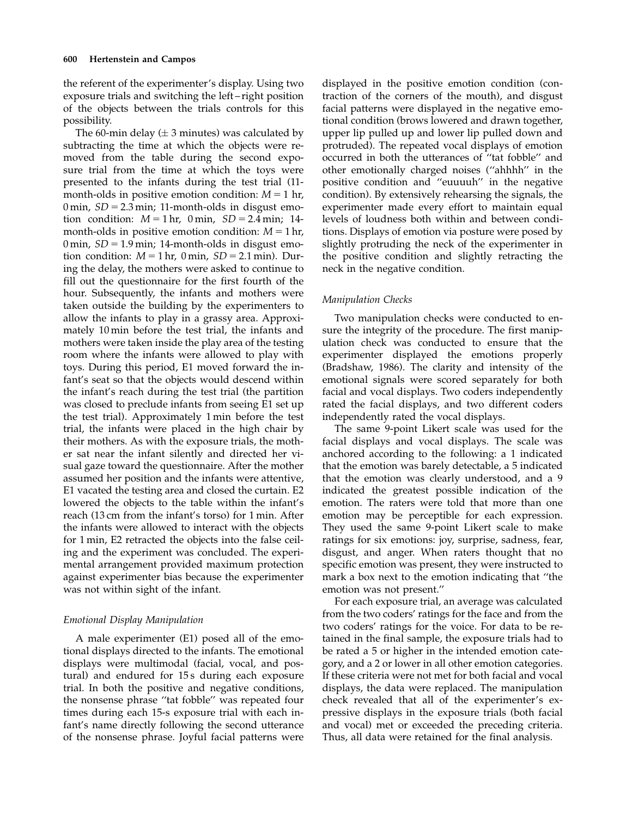the referent of the experimenter's display. Using two exposure trials and switching the left – right position of the objects between the trials controls for this possibility.

The 60-min delay ( $\pm$  3 minutes) was calculated by subtracting the time at which the objects were removed from the table during the second exposure trial from the time at which the toys were presented to the infants during the test trial (11 month-olds in positive emotion condition:  $M = 1$  hr, 0 min,  $SD = 2.3$  min; 11-month-olds in disgust emotion condition:  $M = 1$  hr, 0 min,  $SD = 2.4$  min; 14month-olds in positive emotion condition:  $M = 1$  hr, 0 min,  $SD = 1.9$  min; 14-month-olds in disgust emotion condition:  $M = 1$  hr, 0 min,  $SD = 2.1$  min). During the delay, the mothers were asked to continue to fill out the questionnaire for the first fourth of the hour. Subsequently, the infants and mothers were taken outside the building by the experimenters to allow the infants to play in a grassy area. Approximately 10 min before the test trial, the infants and mothers were taken inside the play area of the testing room where the infants were allowed to play with toys. During this period, E1 moved forward the infant's seat so that the objects would descend within the infant's reach during the test trial (the partition was closed to preclude infants from seeing E1 set up the test trial). Approximately 1 min before the test trial, the infants were placed in the high chair by their mothers. As with the exposure trials, the mother sat near the infant silently and directed her visual gaze toward the questionnaire. After the mother assumed her position and the infants were attentive, E1 vacated the testing area and closed the curtain. E2 lowered the objects to the table within the infant's reach (13 cm from the infant's torso) for 1 min. After the infants were allowed to interact with the objects for 1 min, E2 retracted the objects into the false ceiling and the experiment was concluded. The experimental arrangement provided maximum protection against experimenter bias because the experimenter was not within sight of the infant.

## Emotional Display Manipulation

A male experimenter (E1) posed all of the emotional displays directed to the infants. The emotional displays were multimodal (facial, vocal, and postural) and endured for 15s during each exposure trial. In both the positive and negative conditions, the nonsense phrase ''tat fobble'' was repeated four times during each 15-s exposure trial with each infant's name directly following the second utterance of the nonsense phrase. Joyful facial patterns were displayed in the positive emotion condition (contraction of the corners of the mouth), and disgust facial patterns were displayed in the negative emotional condition (brows lowered and drawn together, upper lip pulled up and lower lip pulled down and protruded). The repeated vocal displays of emotion occurred in both the utterances of ''tat fobble'' and other emotionally charged noises (''ahhhh'' in the positive condition and ''euuuuh'' in the negative condition). By extensively rehearsing the signals, the experimenter made every effort to maintain equal levels of loudness both within and between conditions. Displays of emotion via posture were posed by slightly protruding the neck of the experimenter in the positive condition and slightly retracting the neck in the negative condition.

# Manipulation Checks

Two manipulation checks were conducted to ensure the integrity of the procedure. The first manipulation check was conducted to ensure that the experimenter displayed the emotions properly (Bradshaw, 1986). The clarity and intensity of the emotional signals were scored separately for both facial and vocal displays. Two coders independently rated the facial displays, and two different coders independently rated the vocal displays.

The same 9-point Likert scale was used for the facial displays and vocal displays. The scale was anchored according to the following: a 1 indicated that the emotion was barely detectable, a 5 indicated that the emotion was clearly understood, and a 9 indicated the greatest possible indication of the emotion. The raters were told that more than one emotion may be perceptible for each expression. They used the same 9-point Likert scale to make ratings for six emotions: joy, surprise, sadness, fear, disgust, and anger. When raters thought that no specific emotion was present, they were instructed to mark a box next to the emotion indicating that ''the emotion was not present.''

For each exposure trial, an average was calculated from the two coders' ratings for the face and from the two coders' ratings for the voice. For data to be retained in the final sample, the exposure trials had to be rated a 5 or higher in the intended emotion category, and a 2 or lower in all other emotion categories. If these criteria were not met for both facial and vocal displays, the data were replaced. The manipulation check revealed that all of the experimenter's expressive displays in the exposure trials (both facial and vocal) met or exceeded the preceding criteria. Thus, all data were retained for the final analysis.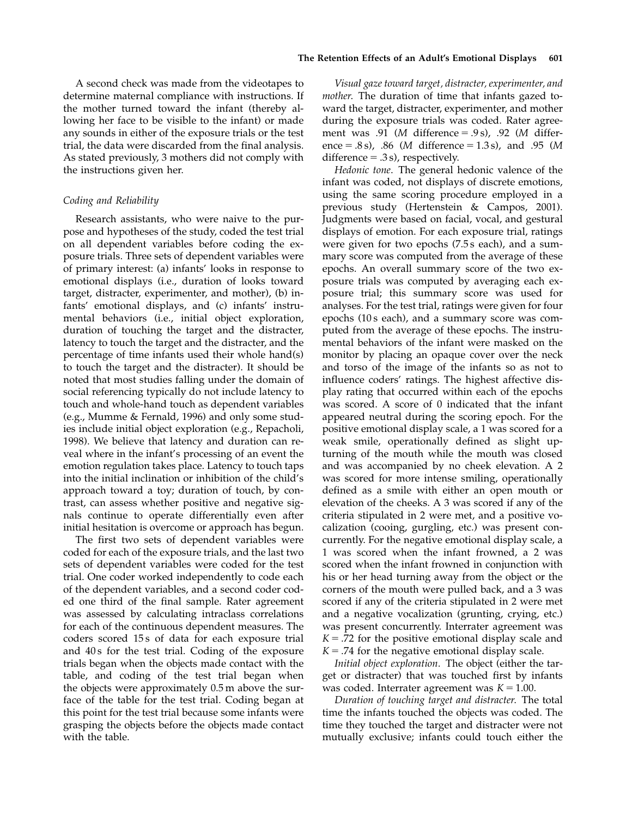A second check was made from the videotapes to determine maternal compliance with instructions. If the mother turned toward the infant (thereby allowing her face to be visible to the infant) or made any sounds in either of the exposure trials or the test trial, the data were discarded from the final analysis. As stated previously, 3 mothers did not comply with the instructions given her.

## Coding and Reliability

Research assistants, who were naive to the purpose and hypotheses of the study, coded the test trial on all dependent variables before coding the exposure trials. Three sets of dependent variables were of primary interest: (a) infants' looks in response to emotional displays (i.e., duration of looks toward target, distracter, experimenter, and mother), (b) infants' emotional displays, and (c) infants' instrumental behaviors (i.e., initial object exploration, duration of touching the target and the distracter, latency to touch the target and the distracter, and the percentage of time infants used their whole hand(s) to touch the target and the distracter). It should be noted that most studies falling under the domain of social referencing typically do not include latency to touch and whole-hand touch as dependent variables (e.g., Mumme & Fernald, 1996) and only some studies include initial object exploration (e.g., Repacholi, 1998). We believe that latency and duration can reveal where in the infant's processing of an event the emotion regulation takes place. Latency to touch taps into the initial inclination or inhibition of the child's approach toward a toy; duration of touch, by contrast, can assess whether positive and negative signals continue to operate differentially even after initial hesitation is overcome or approach has begun.

The first two sets of dependent variables were coded for each of the exposure trials, and the last two sets of dependent variables were coded for the test trial. One coder worked independently to code each of the dependent variables, and a second coder coded one third of the final sample. Rater agreement was assessed by calculating intraclass correlations for each of the continuous dependent measures. The coders scored 15 s of data for each exposure trial and 40 s for the test trial. Coding of the exposure trials began when the objects made contact with the table, and coding of the test trial began when the objects were approximately 0.5 m above the surface of the table for the test trial. Coding began at this point for the test trial because some infants were grasping the objects before the objects made contact with the table.

Visual gaze toward target, distracter, experimenter, and mother. The duration of time that infants gazed toward the target, distracter, experimenter, and mother during the exposure trials was coded. Rater agreement was .91 (*M* difference = .9s), .92 (*M* difference = .8 s), .86 (*M* difference = 1.3 s), and .95 (*M* difference  $= .3$  s), respectively.

Hedonic tone. The general hedonic valence of the infant was coded, not displays of discrete emotions, using the same scoring procedure employed in a previous study (Hertenstein & Campos, 2001). Judgments were based on facial, vocal, and gestural displays of emotion. For each exposure trial, ratings were given for two epochs (7.5 s each), and a summary score was computed from the average of these epochs. An overall summary score of the two exposure trials was computed by averaging each exposure trial; this summary score was used for analyses. For the test trial, ratings were given for four epochs (10 s each), and a summary score was computed from the average of these epochs. The instrumental behaviors of the infant were masked on the monitor by placing an opaque cover over the neck and torso of the image of the infants so as not to influence coders' ratings. The highest affective display rating that occurred within each of the epochs was scored. A score of 0 indicated that the infant appeared neutral during the scoring epoch. For the positive emotional display scale, a 1 was scored for a weak smile, operationally defined as slight upturning of the mouth while the mouth was closed and was accompanied by no cheek elevation. A 2 was scored for more intense smiling, operationally defined as a smile with either an open mouth or elevation of the cheeks. A 3 was scored if any of the criteria stipulated in 2 were met, and a positive vocalization (cooing, gurgling, etc.) was present concurrently. For the negative emotional display scale, a 1 was scored when the infant frowned, a 2 was scored when the infant frowned in conjunction with his or her head turning away from the object or the corners of the mouth were pulled back, and a 3 was scored if any of the criteria stipulated in 2 were met and a negative vocalization (grunting, crying, etc.) was present concurrently. Interrater agreement was  $K = .72$  for the positive emotional display scale and  $K = .74$  for the negative emotional display scale.

Initial object exploration. The object (either the target or distracter) that was touched first by infants was coded. Interrater agreement was  $K = 1.00$ .

Duration of touching target and distracter. The total time the infants touched the objects was coded. The time they touched the target and distracter were not mutually exclusive; infants could touch either the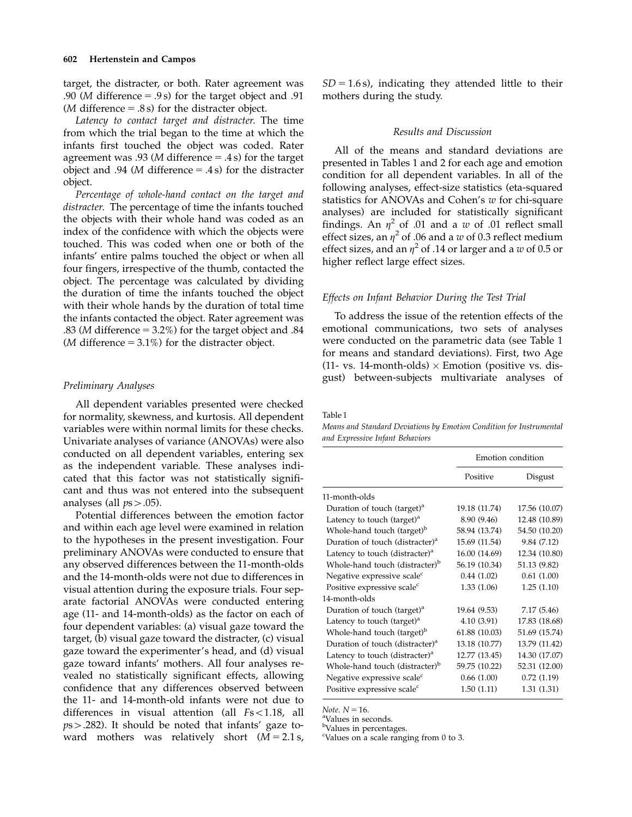target, the distracter, or both. Rater agreement was .90 (*M* difference = .9 s) for the target object and .91 (*M* difference  $= .8$  s) for the distracter object.

Latency to contact target and distracter. The time from which the trial began to the time at which the infants first touched the object was coded. Rater agreement was .93 (*M* difference  $= .4$  s) for the target object and .94 (*M* difference = .4 s) for the distracter object.

Percentage of whole-hand contact on the target and distracter. The percentage of time the infants touched the objects with their whole hand was coded as an index of the confidence with which the objects were touched. This was coded when one or both of the infants' entire palms touched the object or when all four fingers, irrespective of the thumb, contacted the object. The percentage was calculated by dividing the duration of time the infants touched the object with their whole hands by the duration of total time the infants contacted the object. Rater agreement was .83 (*M* difference =  $3.2\%$ ) for the target object and .84 (*M* difference  $= 3.1\%$ ) for the distracter object.

## Preliminary Analyses

All dependent variables presented were checked for normality, skewness, and kurtosis. All dependent variables were within normal limits for these checks. Univariate analyses of variance (ANOVAs) were also conducted on all dependent variables, entering sex as the independent variable. These analyses indicated that this factor was not statistically significant and thus was not entered into the subsequent analyses (all  $ps > .05$ ).

Potential differences between the emotion factor and within each age level were examined in relation to the hypotheses in the present investigation. Four preliminary ANOVAs were conducted to ensure that any observed differences between the 11-month-olds and the 14-month-olds were not due to differences in visual attention during the exposure trials. Four separate factorial ANOVAs were conducted entering age (11- and 14-month-olds) as the factor on each of four dependent variables: (a) visual gaze toward the target, (b) visual gaze toward the distracter, (c) visual gaze toward the experimenter's head, and (d) visual gaze toward infants' mothers. All four analyses revealed no statistically significant effects, allowing confidence that any differences observed between the 11- and 14-month-old infants were not due to differences in visual attention (all  $Fs < 1.18$ , all  $ps > .282$ ). It should be noted that infants' gaze toward mothers was relatively short  $(M = 2.1 s,$ 

 $SD = 1.6$  s), indicating they attended little to their mothers during the study.

#### Results and Discussion

All of the means and standard deviations are presented in Tables 1 and 2 for each age and emotion condition for all dependent variables. In all of the following analyses, effect-size statistics (eta-squared statistics for ANOVAs and Cohen's  $w$  for chi-square analyses) are included for statistically significant findings. An  $\eta^2$  of .01 and a w of .01 reflect small effect sizes, an  $\eta^2$  of .06 and a w of 0.3 reflect medium effect sizes, and an  $\eta^2$  of .14 or larger and a w of 0.5 or higher reflect large effect sizes.

#### Effects on Infant Behavior During the Test Trial

To address the issue of the retention effects of the emotional communications, two sets of analyses were conducted on the parametric data (see Table 1 for means and standard deviations). First, two Age (11- vs. 14-month-olds)  $\times$  Emotion (positive vs. disgust) between-subjects multivariate analyses of

Table 1

Means and Standard Deviations by Emotion Condition for Instrumental and Expressive Infant Behaviors

|                                               | Emotion condition |               |
|-----------------------------------------------|-------------------|---------------|
|                                               | Positive          | Disgust       |
| 11-month-olds                                 |                   |               |
| Duration of touch (target) <sup>a</sup>       | 19.18 (11.74)     | 17.56 (10.07) |
| Latency to touch $\text{(target)}^{\text{a}}$ | 8.90 (9.46)       | 12.48 (10.89) |
| Whole-hand touch (target) <sup>b</sup>        | 58.94 (13.74)     | 54.50 (10.20) |
| Duration of touch (distracter) <sup>a</sup>   | 15.69 (11.54)     | 9.84 (7.12)   |
| Latency to touch (distracter) <sup>a</sup>    | 16.00 (14.69)     | 12.34 (10.80) |
| Whole-hand touch (distracter) <sup>b</sup>    | 56.19 (10.34)     | 51.13 (9.82)  |
| Negative expressive scale <sup>c</sup>        | 0.44(1.02)        | 0.61(1.00)    |
| Positive expressive scale <sup>c</sup>        | 1.33(1.06)        | 1.25(1.10)    |
| 14-month-olds                                 |                   |               |
| Duration of touch (target) <sup>a</sup>       | 19.64 (9.53)      | 7.17 (5.46)   |
| Latency to touch $\text{(target)}^{\text{a}}$ | 4.10 (3.91)       | 17.83 (18.68) |
| Whole-hand touch (target) <sup>b</sup>        | 61.88 (10.03)     | 51.69 (15.74) |
| Duration of touch (distracter) <sup>a</sup>   | 13.18 (10.77)     | 13.79 (11.42) |
| Latency to touch (distracter) <sup>a</sup>    | 12.77 (13.45)     | 14.30 (17.07) |
| Whole-hand touch (distracter) <sup>b</sup>    | 59.75 (10.22)     | 52.31 (12.00) |
| Negative expressive scale <sup>c</sup>        | 0.66(1.00)        | 0.72(1.19)    |
| Positive expressive scale <sup>c</sup>        | 1.50(1.11)        | 1.31(1.31)    |

Note.  $N = 16$ .

Values in seconds.

<sup>b</sup>Values in percentages.

c Values on a scale ranging from 0 to 3.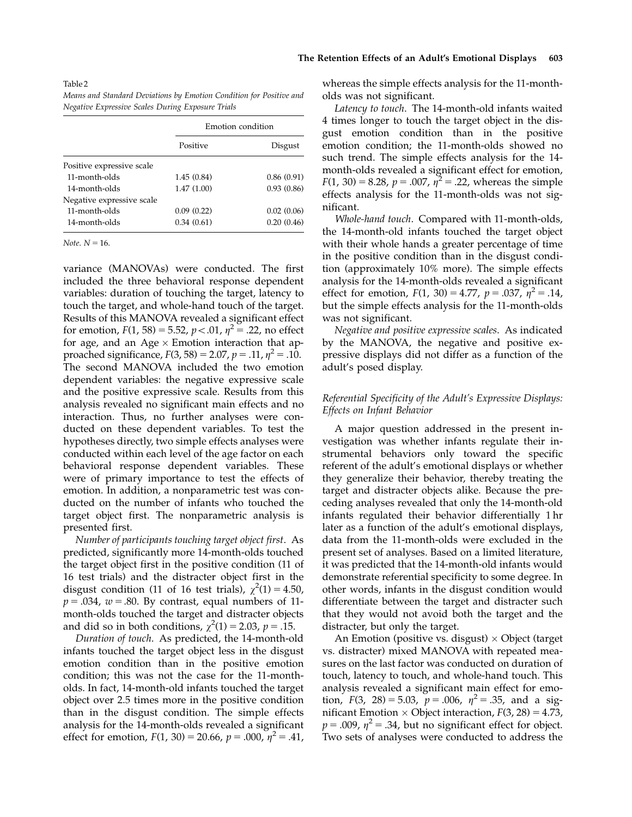#### Table 2

| Means and Standard Deviations by Emotion Condition for Positive and |  |  |  |
|---------------------------------------------------------------------|--|--|--|
| Negative Expressive Scales During Exposure Trials                   |  |  |  |

|                           |            | Emotion condition |  |
|---------------------------|------------|-------------------|--|
|                           | Positive   | Disgust           |  |
| Positive expressive scale |            |                   |  |
| 11-month-olds             | 1.45(0.84) | 0.86(0.91)        |  |
| 14-month-olds             | 1.47(1.00) | 0.93(0.86)        |  |
| Negative expressive scale |            |                   |  |
| 11-month-olds             | 0.09(0.22) | 0.02(0.06)        |  |
| 14-month-olds             | 0.34(0.61) | 0.20(0.46)        |  |

Note.  $N = 16$ .

variance (MANOVAs) were conducted. The first included the three behavioral response dependent variables: duration of touching the target, latency to touch the target, and whole-hand touch of the target. Results of this MANOVA revealed a significant effect for emotion,  $F(1, 58) = 5.52$ ,  $p < .01$ ,  $n^2 = .22$ , no effect for age, and an Age  $\times$  Emotion interaction that approached significance,  $F(3, 58) = 2.07$ ,  $p = .11$ ,  $\eta^2 = .10$ . The second MANOVA included the two emotion dependent variables: the negative expressive scale and the positive expressive scale. Results from this analysis revealed no significant main effects and no interaction. Thus, no further analyses were conducted on these dependent variables. To test the hypotheses directly, two simple effects analyses were conducted within each level of the age factor on each behavioral response dependent variables. These were of primary importance to test the effects of emotion. In addition, a nonparametric test was conducted on the number of infants who touched the target object first. The nonparametric analysis is presented first.

Number of participants touching target object first. As predicted, significantly more 14-month-olds touched the target object first in the positive condition (11 of 16 test trials) and the distracter object first in the disgust condition (11 of 16 test trials),  $\chi^2(1) = 4.50$ ,  $p = .034$ ,  $w = .80$ . By contrast, equal numbers of 11month-olds touched the target and distracter objects and did so in both conditions,  $\chi^2(1) = 2.03$ ,  $p = .15$ .

Duration of touch. As predicted, the 14-month-old infants touched the target object less in the disgust emotion condition than in the positive emotion condition; this was not the case for the 11-montholds. In fact, 14-month-old infants touched the target object over 2.5 times more in the positive condition than in the disgust condition. The simple effects analysis for the 14-month-olds revealed a significant effect for emotion,  $F(1, 30) = 20.66$ ,  $p = .000$ ,  $\eta^2 = .41$ ,

whereas the simple effects analysis for the 11-montholds was not significant.

Latency to touch. The 14-month-old infants waited 4 times longer to touch the target object in the disgust emotion condition than in the positive emotion condition; the 11-month-olds showed no such trend. The simple effects analysis for the 14 month-olds revealed a significant effect for emotion,  $F(1, 30) = 8.28$ ,  $p = .007$ ,  $\eta^2 = .22$ , whereas the simple effects analysis for the 11-month-olds was not significant.

Whole-hand touch. Compared with 11-month-olds, the 14-month-old infants touched the target object with their whole hands a greater percentage of time in the positive condition than in the disgust condition (approximately 10% more). The simple effects analysis for the 14-month-olds revealed a significant effect for emotion,  $F(1, 30) = 4.77$ ,  $p = .037$ ,  $p^2 = .14$ , but the simple effects analysis for the 11-month-olds was not significant.

Negative and positive expressive scales. As indicated by the MANOVA, the negative and positive expressive displays did not differ as a function of the adult's posed display.

# Referential Specificity of the Adult's Expressive Displays: Effects on Infant Behavior

A major question addressed in the present investigation was whether infants regulate their instrumental behaviors only toward the specific referent of the adult's emotional displays or whether they generalize their behavior, thereby treating the target and distracter objects alike. Because the preceding analyses revealed that only the 14-month-old infants regulated their behavior differentially 1 hr later as a function of the adult's emotional displays, data from the 11-month-olds were excluded in the present set of analyses. Based on a limited literature, it was predicted that the 14-month-old infants would demonstrate referential specificity to some degree. In other words, infants in the disgust condition would differentiate between the target and distracter such that they would not avoid both the target and the distracter, but only the target.

An Emotion (positive vs. disgust)  $\times$  Object (target vs. distracter) mixed MANOVA with repeated measures on the last factor was conducted on duration of touch, latency to touch, and whole-hand touch. This analysis revealed a significant main effect for emotion,  $F(3, 28) = 5.03$ ,  $p = .006$ ,  $p^2 = .35$ , and a significant Emotion  $\times$  Object interaction,  $F(3, 28) = 4.73$ ,  $p = .009$ ,  $\eta^2 = .34$ , but no significant effect for object. Two sets of analyses were conducted to address the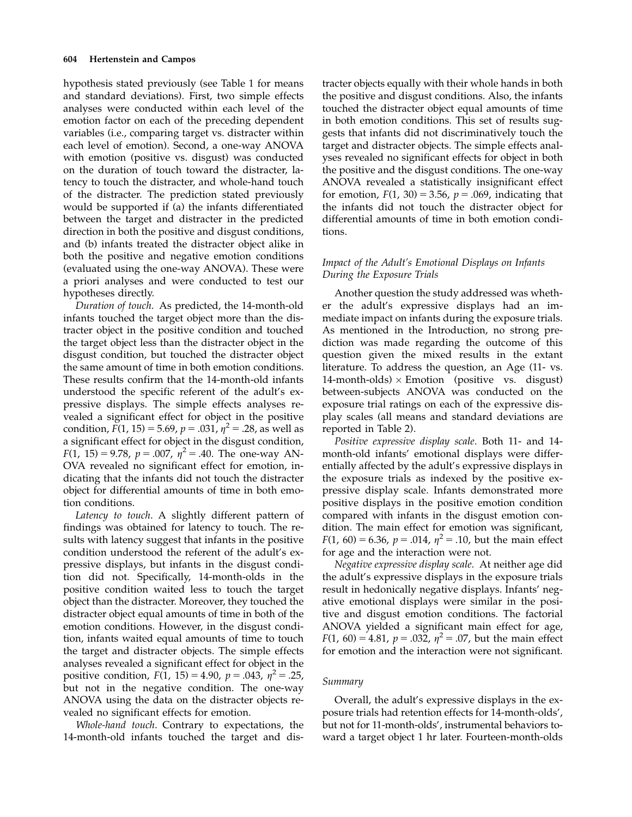hypothesis stated previously (see Table 1 for means and standard deviations). First, two simple effects analyses were conducted within each level of the emotion factor on each of the preceding dependent variables (i.e., comparing target vs. distracter within each level of emotion). Second, a one-way ANOVA with emotion (positive vs. disgust) was conducted on the duration of touch toward the distracter, latency to touch the distracter, and whole-hand touch of the distracter. The prediction stated previously would be supported if (a) the infants differentiated between the target and distracter in the predicted direction in both the positive and disgust conditions, and (b) infants treated the distracter object alike in both the positive and negative emotion conditions (evaluated using the one-way ANOVA). These were a priori analyses and were conducted to test our hypotheses directly.

Duration of touch. As predicted, the 14-month-old infants touched the target object more than the distracter object in the positive condition and touched the target object less than the distracter object in the disgust condition, but touched the distracter object the same amount of time in both emotion conditions. These results confirm that the 14-month-old infants understood the specific referent of the adult's expressive displays. The simple effects analyses revealed a significant effect for object in the positive condition,  $F(1, 15) = 5.69$ ,  $p = .031$ ,  $\eta^2 = .28$ , as well as a significant effect for object in the disgust condition,  $F(1, 15) = 9.78$ ,  $p = .007$ ,  $\eta^2 = .40$ . The one-way AN-OVA revealed no significant effect for emotion, indicating that the infants did not touch the distracter object for differential amounts of time in both emotion conditions.

Latency to touch. A slightly different pattern of findings was obtained for latency to touch. The results with latency suggest that infants in the positive condition understood the referent of the adult's expressive displays, but infants in the disgust condition did not. Specifically, 14-month-olds in the positive condition waited less to touch the target object than the distracter. Moreover, they touched the distracter object equal amounts of time in both of the emotion conditions. However, in the disgust condition, infants waited equal amounts of time to touch the target and distracter objects. The simple effects analyses revealed a significant effect for object in the positive condition,  $F(1, 15) = 4.90$ ,  $p = .043$ ,  $\eta^2 = .25$ , but not in the negative condition. The one-way ANOVA using the data on the distracter objects revealed no significant effects for emotion.

Whole-hand touch. Contrary to expectations, the 14-month-old infants touched the target and distracter objects equally with their whole hands in both the positive and disgust conditions. Also, the infants touched the distracter object equal amounts of time in both emotion conditions. This set of results suggests that infants did not discriminatively touch the target and distracter objects. The simple effects analyses revealed no significant effects for object in both the positive and the disgust conditions. The one-way ANOVA revealed a statistically insignificant effect for emotion,  $F(1, 30) = 3.56$ ,  $p = .069$ , indicating that the infants did not touch the distracter object for differential amounts of time in both emotion conditions.

# Impact of the Adult's Emotional Displays on Infants During the Exposure Trials

Another question the study addressed was whether the adult's expressive displays had an immediate impact on infants during the exposure trials. As mentioned in the Introduction, no strong prediction was made regarding the outcome of this question given the mixed results in the extant literature. To address the question, an Age (11- vs. 14-month-olds)  $\times$  Emotion (positive vs. disgust) between-subjects ANOVA was conducted on the exposure trial ratings on each of the expressive display scales (all means and standard deviations are reported in Table 2).

Positive expressive display scale. Both 11- and 14 month-old infants' emotional displays were differentially affected by the adult's expressive displays in the exposure trials as indexed by the positive expressive display scale. Infants demonstrated more positive displays in the positive emotion condition compared with infants in the disgust emotion condition. The main effect for emotion was significant,  $F(1, 60) = 6.36$ ,  $p = .014$ ,  $\eta^2 = .10$ , but the main effect for age and the interaction were not.

Negative expressive display scale. At neither age did the adult's expressive displays in the exposure trials result in hedonically negative displays. Infants' negative emotional displays were similar in the positive and disgust emotion conditions. The factorial ANOVA yielded a significant main effect for age,  $F(1, 60) = 4.81$ ,  $p = .032$ ,  $\eta^2 = .07$ , but the main effect for emotion and the interaction were not significant.

## Summary

Overall, the adult's expressive displays in the exposure trials had retention effects for 14-month-olds', but not for 11-month-olds', instrumental behaviors toward a target object 1 hr later. Fourteen-month-olds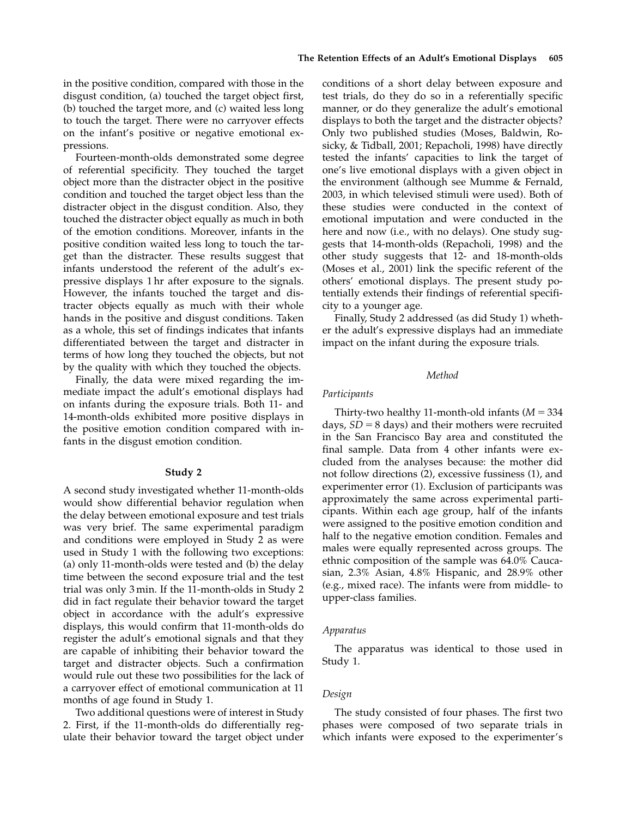in the positive condition, compared with those in the disgust condition, (a) touched the target object first, (b) touched the target more, and (c) waited less long to touch the target. There were no carryover effects on the infant's positive or negative emotional expressions.

Fourteen-month-olds demonstrated some degree of referential specificity. They touched the target object more than the distracter object in the positive condition and touched the target object less than the distracter object in the disgust condition. Also, they touched the distracter object equally as much in both of the emotion conditions. Moreover, infants in the positive condition waited less long to touch the target than the distracter. These results suggest that infants understood the referent of the adult's expressive displays 1 hr after exposure to the signals. However, the infants touched the target and distracter objects equally as much with their whole hands in the positive and disgust conditions. Taken as a whole, this set of findings indicates that infants differentiated between the target and distracter in terms of how long they touched the objects, but not by the quality with which they touched the objects.

Finally, the data were mixed regarding the immediate impact the adult's emotional displays had on infants during the exposure trials. Both 11- and 14-month-olds exhibited more positive displays in the positive emotion condition compared with infants in the disgust emotion condition.

#### Study 2

A second study investigated whether 11-month-olds would show differential behavior regulation when the delay between emotional exposure and test trials was very brief. The same experimental paradigm and conditions were employed in Study 2 as were used in Study 1 with the following two exceptions: (a) only 11-month-olds were tested and (b) the delay time between the second exposure trial and the test trial was only 3 min. If the 11-month-olds in Study 2 did in fact regulate their behavior toward the target object in accordance with the adult's expressive displays, this would confirm that 11-month-olds do register the adult's emotional signals and that they are capable of inhibiting their behavior toward the target and distracter objects. Such a confirmation would rule out these two possibilities for the lack of a carryover effect of emotional communication at 11 months of age found in Study 1.

Two additional questions were of interest in Study 2. First, if the 11-month-olds do differentially regulate their behavior toward the target object under conditions of a short delay between exposure and test trials, do they do so in a referentially specific manner, or do they generalize the adult's emotional displays to both the target and the distracter objects? Only two published studies (Moses, Baldwin, Rosicky, & Tidball, 2001; Repacholi, 1998) have directly tested the infants' capacities to link the target of one's live emotional displays with a given object in the environment (although see Mumme & Fernald, 2003, in which televised stimuli were used). Both of these studies were conducted in the context of emotional imputation and were conducted in the here and now (i.e., with no delays). One study suggests that 14-month-olds (Repacholi, 1998) and the other study suggests that 12- and 18-month-olds (Moses et al., 2001) link the specific referent of the others' emotional displays. The present study potentially extends their findings of referential specificity to a younger age.

Finally, Study 2 addressed (as did Study 1) whether the adult's expressive displays had an immediate impact on the infant during the exposure trials.

#### Method

#### Participants

Thirty-two healthy 11-month-old infants  $(M = 334)$ days,  $SD = 8$  days) and their mothers were recruited in the San Francisco Bay area and constituted the final sample. Data from 4 other infants were excluded from the analyses because: the mother did not follow directions (2), excessive fussiness (1), and experimenter error (1). Exclusion of participants was approximately the same across experimental participants. Within each age group, half of the infants were assigned to the positive emotion condition and half to the negative emotion condition. Females and males were equally represented across groups. The ethnic composition of the sample was 64.0% Caucasian, 2.3% Asian, 4.8% Hispanic, and 28.9% other (e.g., mixed race). The infants were from middle- to upper-class families.

#### Apparatus

The apparatus was identical to those used in Study 1.

## Design

The study consisted of four phases. The first two phases were composed of two separate trials in which infants were exposed to the experimenter's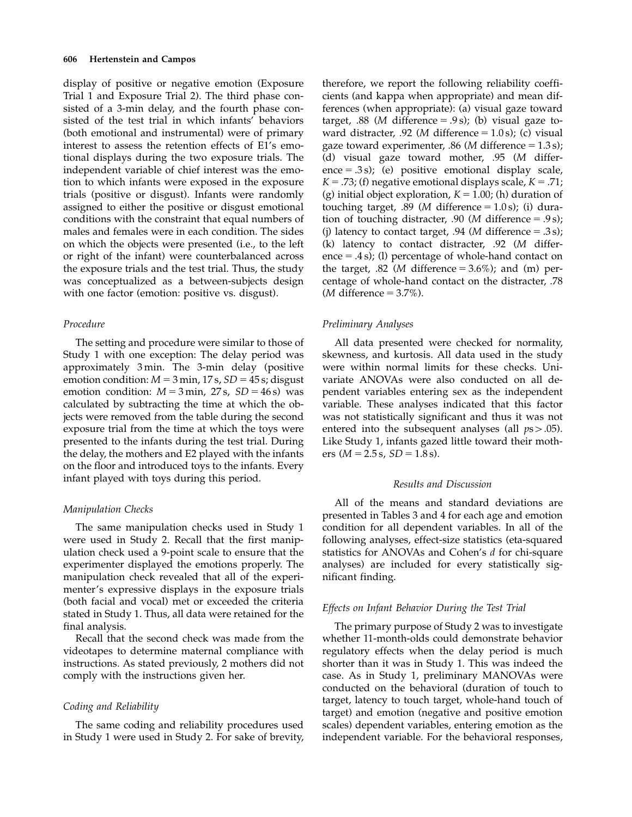display of positive or negative emotion (Exposure Trial 1 and Exposure Trial 2). The third phase consisted of a 3-min delay, and the fourth phase consisted of the test trial in which infants' behaviors (both emotional and instrumental) were of primary interest to assess the retention effects of E1's emotional displays during the two exposure trials. The independent variable of chief interest was the emotion to which infants were exposed in the exposure trials (positive or disgust). Infants were randomly assigned to either the positive or disgust emotional conditions with the constraint that equal numbers of males and females were in each condition. The sides on which the objects were presented (i.e., to the left or right of the infant) were counterbalanced across the exposure trials and the test trial. Thus, the study was conceptualized as a between-subjects design with one factor (emotion: positive vs. disgust).

## Procedure

The setting and procedure were similar to those of Study 1 with one exception: The delay period was approximately 3 min. The 3-min delay (positive emotion condition:  $M = 3$  min, 17 s,  $SD = 45$  s; disgust emotion condition:  $M = 3$  min, 27 s,  $SD = 46$  s) was calculated by subtracting the time at which the objects were removed from the table during the second exposure trial from the time at which the toys were presented to the infants during the test trial. During the delay, the mothers and E2 played with the infants on the floor and introduced toys to the infants. Every infant played with toys during this period.

# Manipulation Checks

The same manipulation checks used in Study 1 were used in Study 2. Recall that the first manipulation check used a 9-point scale to ensure that the experimenter displayed the emotions properly. The manipulation check revealed that all of the experimenter's expressive displays in the exposure trials (both facial and vocal) met or exceeded the criteria stated in Study 1. Thus, all data were retained for the final analysis.

Recall that the second check was made from the videotapes to determine maternal compliance with instructions. As stated previously, 2 mothers did not comply with the instructions given her.

## Coding and Reliability

The same coding and reliability procedures used in Study 1 were used in Study 2. For sake of brevity, therefore, we report the following reliability coefficients (and kappa when appropriate) and mean differences (when appropriate): (a) visual gaze toward target, .88 (*M* difference = .9 s); (b) visual gaze toward distracter, .92 (*M* difference =  $1.0$  s); (c) visual gaze toward experimenter, .86 (*M* difference =  $1.3$  s); (d) visual gaze toward mother, .95 (M differ $e^{\frac{1}{2}}$  ence = .3 s); (e) positive emotional display scale,  $K = .73$ ; (f) negative emotional displays scale,  $K = .71$ ; (g) initial object exploration,  $K = 1.00$ ; (h) duration of touching target, .89 (*M* difference =  $1.0$  s); (i) duration of touching distracter, .90 (*M* difference = .9 s); (j) latency to contact target, .94 (*M* difference = .3 s); (k) latency to contact distracter, .92 (M difference  $= .4 s$ ; (l) percentage of whole-hand contact on the target, .82 (*M* difference =  $3.6\%$ ); and (m) percentage of whole-hand contact on the distracter, .78  $(M$  difference = 3.7%).

# Preliminary Analyses

All data presented were checked for normality, skewness, and kurtosis. All data used in the study were within normal limits for these checks. Univariate ANOVAs were also conducted on all dependent variables entering sex as the independent variable. These analyses indicated that this factor was not statistically significant and thus it was not entered into the subsequent analyses (all  $ps > .05$ ). Like Study 1, infants gazed little toward their mothers  $(M = 2.5 \text{ s}, SD = 1.8 \text{ s}).$ 

#### Results and Discussion

All of the means and standard deviations are presented in Tables 3 and 4 for each age and emotion condition for all dependent variables. In all of the following analyses, effect-size statistics (eta-squared statistics for ANOVAs and Cohen's d for chi-square analyses) are included for every statistically significant finding.

## Effects on Infant Behavior During the Test Trial

The primary purpose of Study 2 was to investigate whether 11-month-olds could demonstrate behavior regulatory effects when the delay period is much shorter than it was in Study 1. This was indeed the case. As in Study 1, preliminary MANOVAs were conducted on the behavioral (duration of touch to target, latency to touch target, whole-hand touch of target) and emotion (negative and positive emotion scales) dependent variables, entering emotion as the independent variable. For the behavioral responses,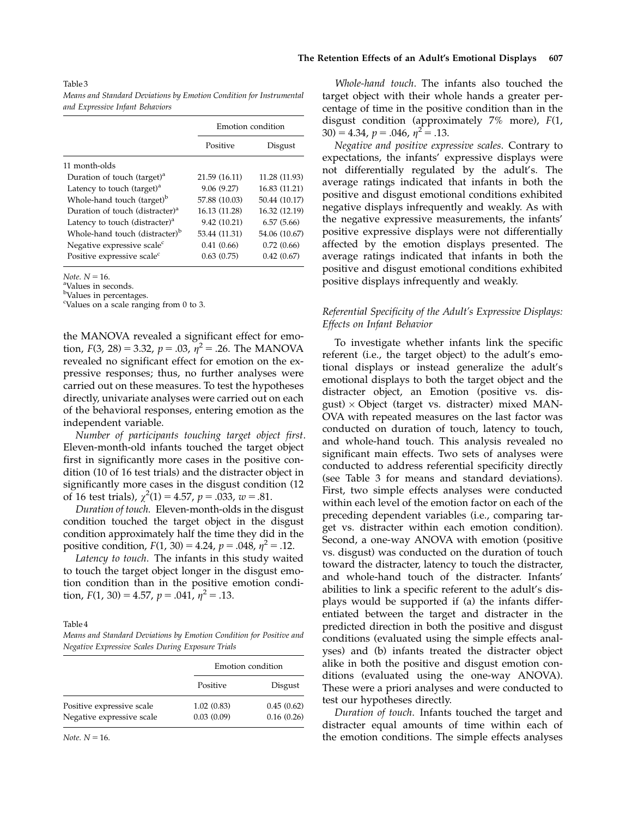#### Table 3

|                                 | Means and Standard Deviations by Emotion Condition for Instrumental |
|---------------------------------|---------------------------------------------------------------------|
| and Expressive Infant Behaviors |                                                                     |

|                                             | Emotion condition |               |
|---------------------------------------------|-------------------|---------------|
|                                             | Positive          | Disgust       |
| 11 month-olds                               |                   |               |
| Duration of touch (target) <sup>a</sup>     | 21.59 (16.11)     | 11.28 (11.93) |
| Latency to touch (target) <sup>a</sup>      | 9.06(9.27)        | 16.83 (11.21) |
| Whole-hand touch (target) <sup>b</sup>      | 57.88 (10.03)     | 50.44 (10.17) |
| Duration of touch (distracter) <sup>a</sup> | 16.13 (11.28)     | 16.32 (12.19) |
| Latency to touch (distracter) <sup>a</sup>  | 9.42 (10.21)      | 6.57(5.66)    |
| Whole-hand touch (distracter) <sup>b</sup>  | 53.44 (11.31)     | 54.06 (10.67) |
| Negative expressive scale <sup>c</sup>      | 0.41(0.66)        | 0.72(0.66)    |
| Positive expressive scale <sup>c</sup>      | 0.63(0.75)        | 0.42(0.67)    |

Note.  $N = 16$ .

Values in seconds.

<sup>b</sup>Values in percentages.

c Values on a scale ranging from 0 to 3.

the MANOVA revealed a significant effect for emotion,  $F(3, 28) = 3.32$ ,  $p = .03$ ,  $\eta^2 = .26$ . The MANOVA revealed no significant effect for emotion on the expressive responses; thus, no further analyses were carried out on these measures. To test the hypotheses directly, univariate analyses were carried out on each of the behavioral responses, entering emotion as the independent variable.

Number of participants touching target object first. Eleven-month-old infants touched the target object first in significantly more cases in the positive condition (10 of 16 test trials) and the distracter object in significantly more cases in the disgust condition (12 of 16 test trials),  $\chi^2(1) = 4.57$ ,  $p = .033$ ,  $w = .81$ .

Duration of touch. Eleven-month-olds in the disgust condition touched the target object in the disgust condition approximately half the time they did in the positive condition,  $F(1, 30) = 4.24$ ,  $p = .048$ ,  $n^2 = .12$ .

Latency to touch. The infants in this study waited to touch the target object longer in the disgust emotion condition than in the positive emotion condition,  $F(1, 30) = 4.57$ ,  $p = .041$ ,  $n^2 = .13$ .

Table 4

Means and Standard Deviations by Emotion Condition for Positive and Negative Expressive Scales During Exposure Trials

|                                                        |                          | Emotion condition        |  |
|--------------------------------------------------------|--------------------------|--------------------------|--|
|                                                        | Positive                 | Disgust                  |  |
| Positive expressive scale<br>Negative expressive scale | 1.02(0.83)<br>0.03(0.09) | 0.45(0.62)<br>0.16(0.26) |  |

Note.  $N = 16$ .

Whole-hand touch. The infants also touched the target object with their whole hands a greater percentage of time in the positive condition than in the disgust condition (approximately 7% more), F(1,  $30) = 4.34$ ,  $p = .046$ ,  $p^2 = .13$ .

Negative and positive expressive scales. Contrary to expectations, the infants' expressive displays were not differentially regulated by the adult's. The average ratings indicated that infants in both the positive and disgust emotional conditions exhibited negative displays infrequently and weakly. As with the negative expressive measurements, the infants' positive expressive displays were not differentially affected by the emotion displays presented. The average ratings indicated that infants in both the positive and disgust emotional conditions exhibited positive displays infrequently and weakly.

# Referential Specificity of the Adult's Expressive Displays: Effects on Infant Behavior

To investigate whether infants link the specific referent (i.e., the target object) to the adult's emotional displays or instead generalize the adult's emotional displays to both the target object and the distracter object, an Emotion (positive vs. disgust)  $\times$  Object (target vs. distracter) mixed MAN-OVA with repeated measures on the last factor was conducted on duration of touch, latency to touch, and whole-hand touch. This analysis revealed no significant main effects. Two sets of analyses were conducted to address referential specificity directly (see Table 3 for means and standard deviations). First, two simple effects analyses were conducted within each level of the emotion factor on each of the preceding dependent variables (i.e., comparing target vs. distracter within each emotion condition). Second, a one-way ANOVA with emotion (positive vs. disgust) was conducted on the duration of touch toward the distracter, latency to touch the distracter, and whole-hand touch of the distracter. Infants' abilities to link a specific referent to the adult's displays would be supported if (a) the infants differentiated between the target and distracter in the predicted direction in both the positive and disgust conditions (evaluated using the simple effects analyses) and (b) infants treated the distracter object alike in both the positive and disgust emotion conditions (evaluated using the one-way ANOVA). These were a priori analyses and were conducted to test our hypotheses directly.

Duration of touch. Infants touched the target and distracter equal amounts of time within each of the emotion conditions. The simple effects analyses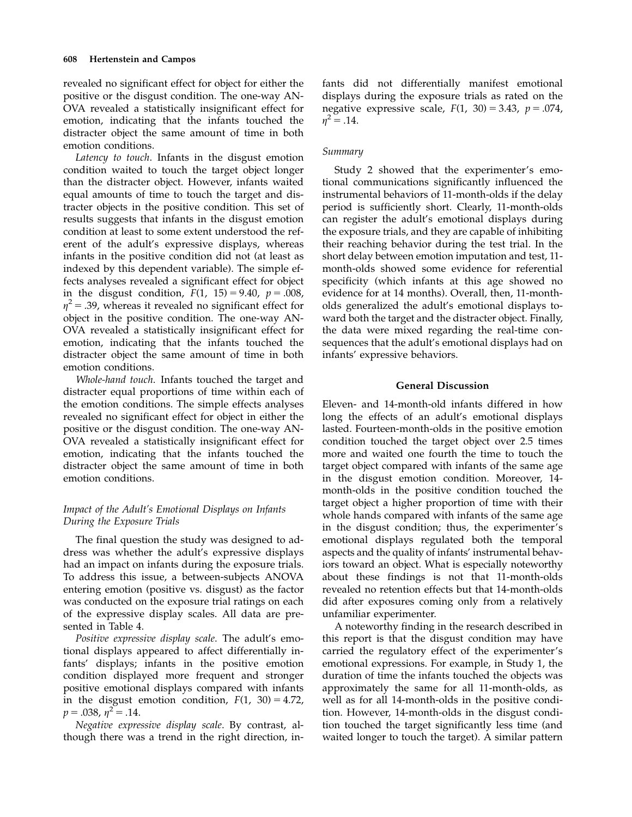revealed no significant effect for object for either the positive or the disgust condition. The one-way AN-OVA revealed a statistically insignificant effect for emotion, indicating that the infants touched the distracter object the same amount of time in both emotion conditions.

Latency to touch. Infants in the disgust emotion condition waited to touch the target object longer than the distracter object. However, infants waited equal amounts of time to touch the target and distracter objects in the positive condition. This set of results suggests that infants in the disgust emotion condition at least to some extent understood the referent of the adult's expressive displays, whereas infants in the positive condition did not (at least as indexed by this dependent variable). The simple effects analyses revealed a significant effect for object in the disgust condition,  $F(1, 15) = 9.40$ ,  $p = .008$ ,  $\eta^2$  = .39, whereas it revealed no significant effect for object in the positive condition. The one-way AN-OVA revealed a statistically insignificant effect for emotion, indicating that the infants touched the distracter object the same amount of time in both emotion conditions.

Whole-hand touch. Infants touched the target and distracter equal proportions of time within each of the emotion conditions. The simple effects analyses revealed no significant effect for object in either the positive or the disgust condition. The one-way AN-OVA revealed a statistically insignificant effect for emotion, indicating that the infants touched the distracter object the same amount of time in both emotion conditions.

# Impact of the Adult's Emotional Displays on Infants During the Exposure Trials

The final question the study was designed to address was whether the adult's expressive displays had an impact on infants during the exposure trials. To address this issue, a between-subjects ANOVA entering emotion (positive vs. disgust) as the factor was conducted on the exposure trial ratings on each of the expressive display scales. All data are presented in Table 4.

Positive expressive display scale. The adult's emotional displays appeared to affect differentially infants' displays; infants in the positive emotion condition displayed more frequent and stronger positive emotional displays compared with infants in the disgust emotion condition,  $F(1, 30) = 4.72$ ,  $p = .038$ ,  $\eta^2 = .14$ .

Negative expressive display scale. By contrast, although there was a trend in the right direction, infants did not differentially manifest emotional displays during the exposure trials as rated on the negative expressive scale,  $F(1, 30) = 3.43$ ,  $p = .074$ ,  $n^2 = .14$ .

#### Summary

Study 2 showed that the experimenter's emotional communications significantly influenced the instrumental behaviors of 11-month-olds if the delay period is sufficiently short. Clearly, 11-month-olds can register the adult's emotional displays during the exposure trials, and they are capable of inhibiting their reaching behavior during the test trial. In the short delay between emotion imputation and test, 11 month-olds showed some evidence for referential specificity (which infants at this age showed no evidence for at 14 months). Overall, then, 11-montholds generalized the adult's emotional displays toward both the target and the distracter object. Finally, the data were mixed regarding the real-time consequences that the adult's emotional displays had on infants' expressive behaviors.

# General Discussion

Eleven- and 14-month-old infants differed in how long the effects of an adult's emotional displays lasted. Fourteen-month-olds in the positive emotion condition touched the target object over 2.5 times more and waited one fourth the time to touch the target object compared with infants of the same age in the disgust emotion condition. Moreover, 14 month-olds in the positive condition touched the target object a higher proportion of time with their whole hands compared with infants of the same age in the disgust condition; thus, the experimenter's emotional displays regulated both the temporal aspects and the quality of infants' instrumental behaviors toward an object. What is especially noteworthy about these findings is not that 11-month-olds revealed no retention effects but that 14-month-olds did after exposures coming only from a relatively unfamiliar experimenter.

A noteworthy finding in the research described in this report is that the disgust condition may have carried the regulatory effect of the experimenter's emotional expressions. For example, in Study 1, the duration of time the infants touched the objects was approximately the same for all 11-month-olds, as well as for all 14-month-olds in the positive condition. However, 14-month-olds in the disgust condition touched the target significantly less time (and waited longer to touch the target). A similar pattern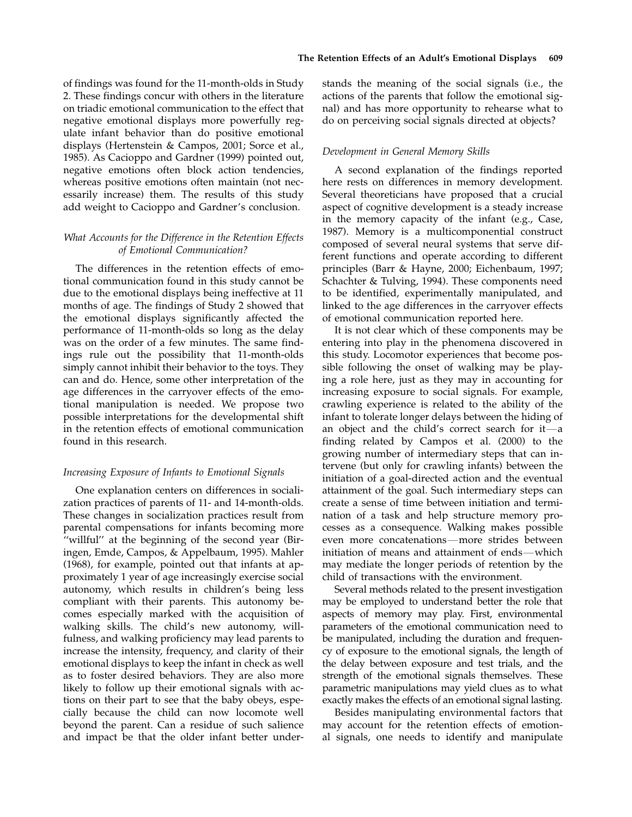of findings was found for the 11-month-olds in Study 2. These findings concur with others in the literature on triadic emotional communication to the effect that negative emotional displays more powerfully regulate infant behavior than do positive emotional displays (Hertenstein & Campos, 2001; Sorce et al., 1985). As Cacioppo and Gardner (1999) pointed out, negative emotions often block action tendencies, whereas positive emotions often maintain (not necessarily increase) them. The results of this study add weight to Cacioppo and Gardner's conclusion.

# What Accounts for the Difference in the Retention Effects of Emotional Communication?

The differences in the retention effects of emotional communication found in this study cannot be due to the emotional displays being ineffective at 11 months of age. The findings of Study 2 showed that the emotional displays significantly affected the performance of 11-month-olds so long as the delay was on the order of a few minutes. The same findings rule out the possibility that 11-month-olds simply cannot inhibit their behavior to the toys. They can and do. Hence, some other interpretation of the age differences in the carryover effects of the emotional manipulation is needed. We propose two possible interpretations for the developmental shift in the retention effects of emotional communication found in this research.

# Increasing Exposure of Infants to Emotional Signals

One explanation centers on differences in socialization practices of parents of 11- and 14-month-olds. These changes in socialization practices result from parental compensations for infants becoming more ''willful'' at the beginning of the second year (Biringen, Emde, Campos, & Appelbaum, 1995). Mahler (1968), for example, pointed out that infants at approximately 1 year of age increasingly exercise social autonomy, which results in children's being less compliant with their parents. This autonomy becomes especially marked with the acquisition of walking skills. The child's new autonomy, willfulness, and walking proficiency may lead parents to increase the intensity, frequency, and clarity of their emotional displays to keep the infant in check as well as to foster desired behaviors. They are also more likely to follow up their emotional signals with actions on their part to see that the baby obeys, especially because the child can now locomote well beyond the parent. Can a residue of such salience and impact be that the older infant better understands the meaning of the social signals (i.e., the actions of the parents that follow the emotional signal) and has more opportunity to rehearse what to do on perceiving social signals directed at objects?

# Development in General Memory Skills

A second explanation of the findings reported here rests on differences in memory development. Several theoreticians have proposed that a crucial aspect of cognitive development is a steady increase in the memory capacity of the infant (e.g., Case, 1987). Memory is a multicomponential construct composed of several neural systems that serve different functions and operate according to different principles (Barr & Hayne, 2000; Eichenbaum, 1997; Schachter & Tulving, 1994). These components need to be identified, experimentally manipulated, and linked to the age differences in the carryover effects of emotional communication reported here.

It is not clear which of these components may be entering into play in the phenomena discovered in this study. Locomotor experiences that become possible following the onset of walking may be playing a role here, just as they may in accounting for increasing exposure to social signals. For example, crawling experience is related to the ability of the infant to tolerate longer delays between the hiding of an object and the child's correct search for it- $a$ finding related by Campos et al. (2000) to the growing number of intermediary steps that can intervene (but only for crawling infants) between the initiation of a goal-directed action and the eventual attainment of the goal. Such intermediary steps can create a sense of time between initiation and termination of a task and help structure memory processes as a consequence. Walking makes possible even more concatenations-more strides between initiation of means and attainment of ends—which may mediate the longer periods of retention by the child of transactions with the environment.

Several methods related to the present investigation may be employed to understand better the role that aspects of memory may play. First, environmental parameters of the emotional communication need to be manipulated, including the duration and frequency of exposure to the emotional signals, the length of the delay between exposure and test trials, and the strength of the emotional signals themselves. These parametric manipulations may yield clues as to what exactly makes the effects of an emotional signal lasting.

Besides manipulating environmental factors that may account for the retention effects of emotional signals, one needs to identify and manipulate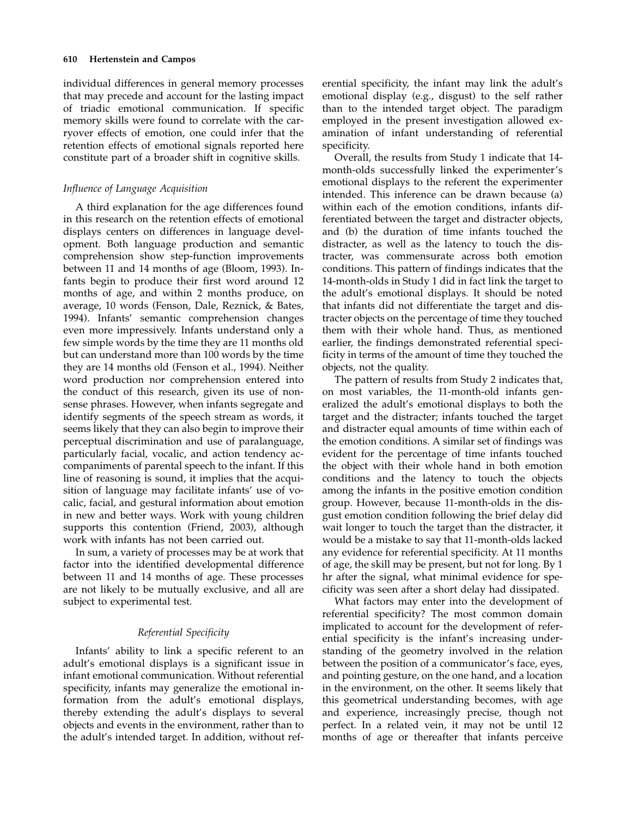individual differences in general memory processes that may precede and account for the lasting impact of triadic emotional communication. If specific memory skills were found to correlate with the carryover effects of emotion, one could infer that the retention effects of emotional signals reported here constitute part of a broader shift in cognitive skills.

# Influence of Language Acquisition

A third explanation for the age differences found in this research on the retention effects of emotional displays centers on differences in language development. Both language production and semantic comprehension show step-function improvements between 11 and 14 months of age (Bloom, 1993). Infants begin to produce their first word around 12 months of age, and within 2 months produce, on average, 10 words (Fenson, Dale, Reznick, & Bates, 1994). Infants' semantic comprehension changes even more impressively. Infants understand only a few simple words by the time they are 11 months old but can understand more than 100 words by the time they are 14 months old (Fenson et al., 1994). Neither word production nor comprehension entered into the conduct of this research, given its use of nonsense phrases. However, when infants segregate and identify segments of the speech stream as words, it seems likely that they can also begin to improve their perceptual discrimination and use of paralanguage, particularly facial, vocalic, and action tendency accompaniments of parental speech to the infant. If this line of reasoning is sound, it implies that the acquisition of language may facilitate infants' use of vocalic, facial, and gestural information about emotion in new and better ways. Work with young children supports this contention (Friend, 2003), although work with infants has not been carried out.

In sum, a variety of processes may be at work that factor into the identified developmental difference between 11 and 14 months of age. These processes are not likely to be mutually exclusive, and all are subject to experimental test.

## Referential Specificity

Infants' ability to link a specific referent to an adult's emotional displays is a significant issue in infant emotional communication. Without referential specificity, infants may generalize the emotional information from the adult's emotional displays, thereby extending the adult's displays to several objects and events in the environment, rather than to the adult's intended target. In addition, without referential specificity, the infant may link the adult's emotional display (e.g., disgust) to the self rather than to the intended target object. The paradigm employed in the present investigation allowed examination of infant understanding of referential specificity.

Overall, the results from Study 1 indicate that 14 month-olds successfully linked the experimenter's emotional displays to the referent the experimenter intended. This inference can be drawn because (a) within each of the emotion conditions, infants differentiated between the target and distracter objects, and (b) the duration of time infants touched the distracter, as well as the latency to touch the distracter, was commensurate across both emotion conditions. This pattern of findings indicates that the 14-month-olds in Study 1 did in fact link the target to the adult's emotional displays. It should be noted that infants did not differentiate the target and distracter objects on the percentage of time they touched them with their whole hand. Thus, as mentioned earlier, the findings demonstrated referential specificity in terms of the amount of time they touched the objects, not the quality.

The pattern of results from Study 2 indicates that, on most variables, the 11-month-old infants generalized the adult's emotional displays to both the target and the distracter; infants touched the target and distracter equal amounts of time within each of the emotion conditions. A similar set of findings was evident for the percentage of time infants touched the object with their whole hand in both emotion conditions and the latency to touch the objects among the infants in the positive emotion condition group. However, because 11-month-olds in the disgust emotion condition following the brief delay did wait longer to touch the target than the distracter, it would be a mistake to say that 11-month-olds lacked any evidence for referential specificity. At 11 months of age, the skill may be present, but not for long. By 1 hr after the signal, what minimal evidence for specificity was seen after a short delay had dissipated.

What factors may enter into the development of referential specificity? The most common domain implicated to account for the development of referential specificity is the infant's increasing understanding of the geometry involved in the relation between the position of a communicator's face, eyes, and pointing gesture, on the one hand, and a location in the environment, on the other. It seems likely that this geometrical understanding becomes, with age and experience, increasingly precise, though not perfect. In a related vein, it may not be until 12 months of age or thereafter that infants perceive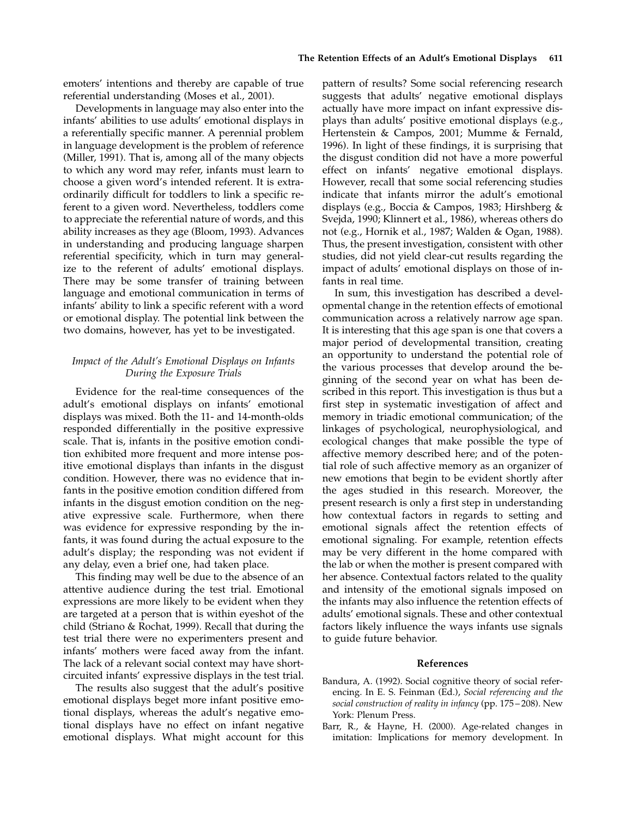emoters' intentions and thereby are capable of true referential understanding (Moses et al., 2001).

Developments in language may also enter into the infants' abilities to use adults' emotional displays in a referentially specific manner. A perennial problem in language development is the problem of reference (Miller, 1991). That is, among all of the many objects to which any word may refer, infants must learn to choose a given word's intended referent. It is extraordinarily difficult for toddlers to link a specific referent to a given word. Nevertheless, toddlers come to appreciate the referential nature of words, and this ability increases as they age (Bloom, 1993). Advances in understanding and producing language sharpen referential specificity, which in turn may generalize to the referent of adults' emotional displays. There may be some transfer of training between language and emotional communication in terms of infants' ability to link a specific referent with a word or emotional display. The potential link between the two domains, however, has yet to be investigated.

# Impact of the Adult's Emotional Displays on Infants During the Exposure Trials

Evidence for the real-time consequences of the adult's emotional displays on infants' emotional displays was mixed. Both the 11- and 14-month-olds responded differentially in the positive expressive scale. That is, infants in the positive emotion condition exhibited more frequent and more intense positive emotional displays than infants in the disgust condition. However, there was no evidence that infants in the positive emotion condition differed from infants in the disgust emotion condition on the negative expressive scale. Furthermore, when there was evidence for expressive responding by the infants, it was found during the actual exposure to the adult's display; the responding was not evident if any delay, even a brief one, had taken place.

This finding may well be due to the absence of an attentive audience during the test trial. Emotional expressions are more likely to be evident when they are targeted at a person that is within eyeshot of the child (Striano & Rochat, 1999). Recall that during the test trial there were no experimenters present and infants' mothers were faced away from the infant. The lack of a relevant social context may have shortcircuited infants' expressive displays in the test trial.

The results also suggest that the adult's positive emotional displays beget more infant positive emotional displays, whereas the adult's negative emotional displays have no effect on infant negative emotional displays. What might account for this

pattern of results? Some social referencing research suggests that adults' negative emotional displays actually have more impact on infant expressive displays than adults' positive emotional displays (e.g., Hertenstein & Campos, 2001; Mumme & Fernald, 1996). In light of these findings, it is surprising that the disgust condition did not have a more powerful effect on infants' negative emotional displays. However, recall that some social referencing studies indicate that infants mirror the adult's emotional displays (e.g., Boccia & Campos, 1983; Hirshberg & Svejda, 1990; Klinnert et al., 1986), whereas others do not (e.g., Hornik et al., 1987; Walden & Ogan, 1988). Thus, the present investigation, consistent with other studies, did not yield clear-cut results regarding the impact of adults' emotional displays on those of infants in real time.

In sum, this investigation has described a developmental change in the retention effects of emotional communication across a relatively narrow age span. It is interesting that this age span is one that covers a major period of developmental transition, creating an opportunity to understand the potential role of the various processes that develop around the beginning of the second year on what has been described in this report. This investigation is thus but a first step in systematic investigation of affect and memory in triadic emotional communication; of the linkages of psychological, neurophysiological, and ecological changes that make possible the type of affective memory described here; and of the potential role of such affective memory as an organizer of new emotions that begin to be evident shortly after the ages studied in this research. Moreover, the present research is only a first step in understanding how contextual factors in regards to setting and emotional signals affect the retention effects of emotional signaling. For example, retention effects may be very different in the home compared with the lab or when the mother is present compared with her absence. Contextual factors related to the quality and intensity of the emotional signals imposed on the infants may also influence the retention effects of adults' emotional signals. These and other contextual factors likely influence the ways infants use signals to guide future behavior.

#### References

- Bandura, A. (1992). Social cognitive theory of social referencing. In E. S. Feinman (Ed.), Social referencing and the social construction of reality in infancy (pp. 175 – 208). New York: Plenum Press.
- Barr, R., & Hayne, H. (2000). Age-related changes in imitation: Implications for memory development. In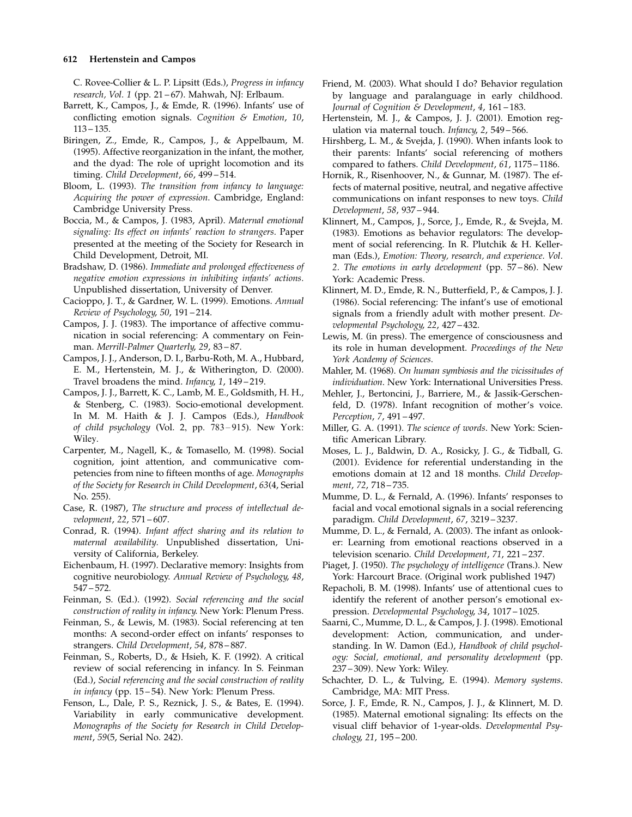#### 612 Hertenstein and Campos

C. Rovee-Collier & L. P. Lipsitt (Eds.), Progress in infancy research, Vol. 1 (pp. 21–67). Mahwah, NJ: Erlbaum.

- Barrett, K., Campos, J., & Emde, R. (1996). Infants' use of conflicting emotion signals. Cognition & Emotion, 10, 113 – 135.
- Biringen, Z., Emde, R., Campos, J., & Appelbaum, M. (1995). Affective reorganization in the infant, the mother, and the dyad: The role of upright locomotion and its timing. Child Development, 66, 499-514.
- Bloom, L. (1993). The transition from infancy to language: Acquiring the power of expression. Cambridge, England: Cambridge University Press.
- Boccia, M., & Campos, J. (1983, April). Maternal emotional signaling: Its effect on infants' reaction to strangers. Paper presented at the meeting of the Society for Research in Child Development, Detroit, MI.
- Bradshaw, D. (1986). Immediate and prolonged effectiveness of negative emotion expressions in inhibiting infants' actions. Unpublished dissertation, University of Denver.
- Cacioppo, J. T., & Gardner, W. L. (1999). Emotions. Annual Review of Psychology, 50, 191 – 214.
- Campos, J. J. (1983). The importance of affective communication in social referencing: A commentary on Feinman. Merrill-Palmer Quarterly, 29, 83 – 87.
- Campos, J. J., Anderson, D. I., Barbu-Roth, M. A., Hubbard, E. M., Hertenstein, M. J., & Witherington, D. (2000). Travel broadens the mind. Infancy, 1, 149 – 219.
- Campos, J. J., Barrett, K. C., Lamb, M. E., Goldsmith, H. H., & Stenberg, C. (1983). Socio-emotional development. In M. M. Haith & J. J. Campos (Eds.), Handbook of child psychology (Vol. 2, pp. 783 – 915). New York: Wiley.
- Carpenter, M., Nagell, K., & Tomasello, M. (1998). Social cognition, joint attention, and communicative competencies from nine to fifteen months of age. Monographs of the Society for Research in Child Development, 63(4, Serial No. 255).
- Case, R. (1987), The structure and process of intellectual development, 22, 571 – 607.
- Conrad, R. (1994). Infant affect sharing and its relation to maternal availability. Unpublished dissertation, University of California, Berkeley.
- Eichenbaum, H. (1997). Declarative memory: Insights from cognitive neurobiology. Annual Review of Psychology, 48, 547 – 572.
- Feinman, S. (Ed.). (1992). Social referencing and the social construction of reality in infancy. New York: Plenum Press.
- Feinman, S., & Lewis, M. (1983). Social referencing at ten months: A second-order effect on infants' responses to strangers. Child Development, 54, 878 – 887.
- Feinman, S., Roberts, D., & Hsieh, K. F. (1992). A critical review of social referencing in infancy. In S. Feinman (Ed.), Social referencing and the social construction of reality in infancy (pp. 15–54). New York: Plenum Press.
- Fenson, L., Dale, P. S., Reznick, J. S., & Bates, E. (1994). Variability in early communicative development. Monographs of the Society for Research in Child Development, 59(5, Serial No. 242).
- Friend, M. (2003). What should I do? Behavior regulation by language and paralanguage in early childhood. Journal of Cognition & Development, 4, 161 – 183.
- Hertenstein, M. J., & Campos, J. J. (2001). Emotion regulation via maternal touch. Infancy, 2, 549-566.
- Hirshberg, L. M., & Svejda, J. (1990). When infants look to their parents: Infants' social referencing of mothers compared to fathers. Child Development, 61, 1175-1186.
- Hornik, R., Risenhoover, N., & Gunnar, M. (1987). The effects of maternal positive, neutral, and negative affective communications on infant responses to new toys. Child Development, 58, 937 – 944.
- Klinnert, M., Campos, J., Sorce, J., Emde, R., & Svejda, M. (1983). Emotions as behavior regulators: The development of social referencing. In R. Plutchik & H. Kellerman (Eds.), Emotion: Theory, research, and experience. Vol. 2. The emotions in early development (pp. 57 – 86). New York: Academic Press.
- Klinnert, M. D., Emde, R. N., Butterfield, P., & Campos, J. J. (1986). Social referencing: The infant's use of emotional signals from a friendly adult with mother present. Developmental Psychology, 22, 427 – 432.
- Lewis, M. (in press). The emergence of consciousness and its role in human development. Proceedings of the New York Academy of Sciences.
- Mahler, M. (1968). On human symbiosis and the vicissitudes of individuation. New York: International Universities Press.
- Mehler, J., Bertoncini, J., Barriere, M., & Jassik-Gerschenfeld, D. (1978). Infant recognition of mother's voice. Perception, 7, 491 – 497.
- Miller, G. A. (1991). The science of words. New York: Scientific American Library.
- Moses, L. J., Baldwin, D. A., Rosicky, J. G., & Tidball, G. (2001). Evidence for referential understanding in the emotions domain at 12 and 18 months. Child Development, 72, 718 – 735.
- Mumme, D. L., & Fernald, A. (1996). Infants' responses to facial and vocal emotional signals in a social referencing paradigm. Child Development, 67, 3219 – 3237.
- Mumme, D. L., & Fernald, A. (2003). The infant as onlooker: Learning from emotional reactions observed in a television scenario. Child Development, 71, 221 – 237.
- Piaget, J. (1950). The psychology of intelligence (Trans.). New York: Harcourt Brace. (Original work published 1947)
- Repacholi, B. M. (1998). Infants' use of attentional cues to identify the referent of another person's emotional expression. Developmental Psychology, 34, 1017 – 1025.
- Saarni, C., Mumme, D. L., & Campos, J. J. (1998). Emotional development: Action, communication, and understanding. In W. Damon (Ed.), Handbook of child psychology: Social, emotional, and personality development (pp. 237 – 309). New York: Wiley.
- Schachter, D. L., & Tulving, E. (1994). Memory systems. Cambridge, MA: MIT Press.
- Sorce, J. F., Emde, R. N., Campos, J. J., & Klinnert, M. D. (1985). Maternal emotional signaling: Its effects on the visual cliff behavior of 1-year-olds. Developmental Psychology, 21, 195 – 200.